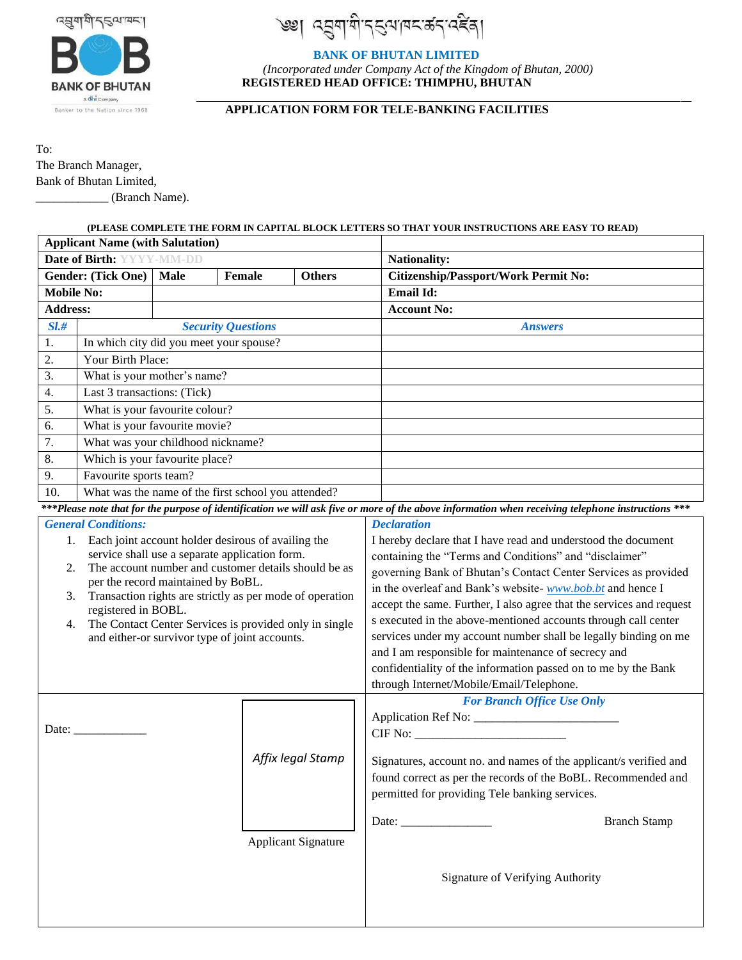

ঀ৾৾৷ৼঽয়ড়য়ড়ৼ৻৻ড় জ হেম

# **BANK OF BHUTAN LIMITED**

 *(Incorporated under Company Act of the Kingdom of Bhutan, 2000)*   **REGISTERED HEAD OFFICE: THIMPHU, BHUTAN**

**APPLICATION FORM FOR TELE-BANKING FACILITIES**

To: The Branch Manager, Bank of Bhutan Limited, \_\_\_\_\_\_\_\_\_\_\_\_ (Branch Name).

# **(PLEASE COMPLETE THE FORM IN CAPITAL BLOCK LETTERS SO THAT YOUR INSTRUCTIONS ARE EASY TO READ)**

| <b>Applicant Name (with Salutation)</b>                                                                                                            |                                                                                                  |             |                            |                   |                                                                      |
|----------------------------------------------------------------------------------------------------------------------------------------------------|--------------------------------------------------------------------------------------------------|-------------|----------------------------|-------------------|----------------------------------------------------------------------|
| Date of Birth: YYYY-MM-DD                                                                                                                          |                                                                                                  |             |                            |                   | <b>Nationality:</b>                                                  |
| Gender: (Tick One)                                                                                                                                 |                                                                                                  | <b>Male</b> | Female                     | <b>Others</b>     | Citizenship/Passport/Work Permit No:                                 |
| <b>Mobile No:</b>                                                                                                                                  |                                                                                                  |             |                            |                   | Email Id:                                                            |
| <b>Address:</b>                                                                                                                                    |                                                                                                  |             |                            |                   | <b>Account No:</b>                                                   |
| SL#                                                                                                                                                | <b>Security Questions</b>                                                                        |             |                            |                   | <b>Answers</b>                                                       |
| 1.                                                                                                                                                 | In which city did you meet your spouse?                                                          |             |                            |                   |                                                                      |
| 2.                                                                                                                                                 | Your Birth Place:                                                                                |             |                            |                   |                                                                      |
| 3.                                                                                                                                                 | What is your mother's name?                                                                      |             |                            |                   |                                                                      |
| 4.                                                                                                                                                 | Last 3 transactions: (Tick)                                                                      |             |                            |                   |                                                                      |
| 5.                                                                                                                                                 | What is your favourite colour?                                                                   |             |                            |                   |                                                                      |
| 6.                                                                                                                                                 | What is your favourite movie?                                                                    |             |                            |                   |                                                                      |
| 7.                                                                                                                                                 | What was your childhood nickname?                                                                |             |                            |                   |                                                                      |
| 8.                                                                                                                                                 | Which is your favourite place?                                                                   |             |                            |                   |                                                                      |
| 9.                                                                                                                                                 | Favourite sports team?                                                                           |             |                            |                   |                                                                      |
| 10.                                                                                                                                                | What was the name of the first school you attended?                                              |             |                            |                   |                                                                      |
| *** Please note that for the purpose of identification we will ask five or more of the above information when receiving telephone instructions *** |                                                                                                  |             |                            |                   |                                                                      |
| <b>General Conditions:</b>                                                                                                                         |                                                                                                  |             |                            |                   | <b>Declaration</b>                                                   |
|                                                                                                                                                    | Each joint account holder desirous of availing the<br>1.                                         |             |                            |                   | I hereby declare that I have read and understood the document        |
|                                                                                                                                                    | service shall use a separate application form.                                                   |             |                            |                   | containing the "Terms and Conditions" and "disclaimer"               |
|                                                                                                                                                    | The account number and customer details should be as<br>2.<br>per the record maintained by BoBL. |             |                            |                   | governing Bank of Bhutan's Contact Center Services as provided       |
|                                                                                                                                                    | Transaction rights are strictly as per mode of operation<br>3.                                   |             |                            |                   | in the overleaf and Bank's website- www.bob.bt and hence I           |
|                                                                                                                                                    | registered in BOBL.                                                                              |             |                            |                   | accept the same. Further, I also agree that the services and request |
|                                                                                                                                                    | The Contact Center Services is provided only in single<br>4.                                     |             |                            |                   | s executed in the above-mentioned accounts through call center       |
| and either-or survivor type of joint accounts.                                                                                                     |                                                                                                  |             |                            |                   | services under my account number shall be legally binding on me      |
|                                                                                                                                                    |                                                                                                  |             |                            |                   | and I am responsible for maintenance of secrecy and                  |
|                                                                                                                                                    |                                                                                                  |             |                            |                   | confidentiality of the information passed on to me by the Bank       |
|                                                                                                                                                    |                                                                                                  |             |                            |                   | through Internet/Mobile/Email/Telephone.                             |
|                                                                                                                                                    |                                                                                                  |             |                            |                   | <b>For Branch Office Use Only</b>                                    |
|                                                                                                                                                    | Date:                                                                                            |             |                            |                   |                                                                      |
|                                                                                                                                                    |                                                                                                  |             |                            |                   |                                                                      |
|                                                                                                                                                    |                                                                                                  |             |                            | Affix legal Stamp | Signatures, account no. and names of the applicant/s verified and    |
|                                                                                                                                                    |                                                                                                  |             |                            |                   | found correct as per the records of the BoBL. Recommended and        |
|                                                                                                                                                    |                                                                                                  |             |                            |                   | permitted for providing Tele banking services.                       |
|                                                                                                                                                    |                                                                                                  |             |                            |                   |                                                                      |
|                                                                                                                                                    |                                                                                                  |             |                            |                   | <b>Branch Stamp</b>                                                  |
|                                                                                                                                                    |                                                                                                  |             | <b>Applicant Signature</b> |                   |                                                                      |
|                                                                                                                                                    |                                                                                                  |             |                            |                   |                                                                      |
|                                                                                                                                                    |                                                                                                  |             |                            |                   | Signature of Verifying Authority                                     |
|                                                                                                                                                    |                                                                                                  |             |                            |                   |                                                                      |
|                                                                                                                                                    |                                                                                                  |             |                            |                   |                                                                      |
|                                                                                                                                                    |                                                                                                  |             |                            |                   |                                                                      |